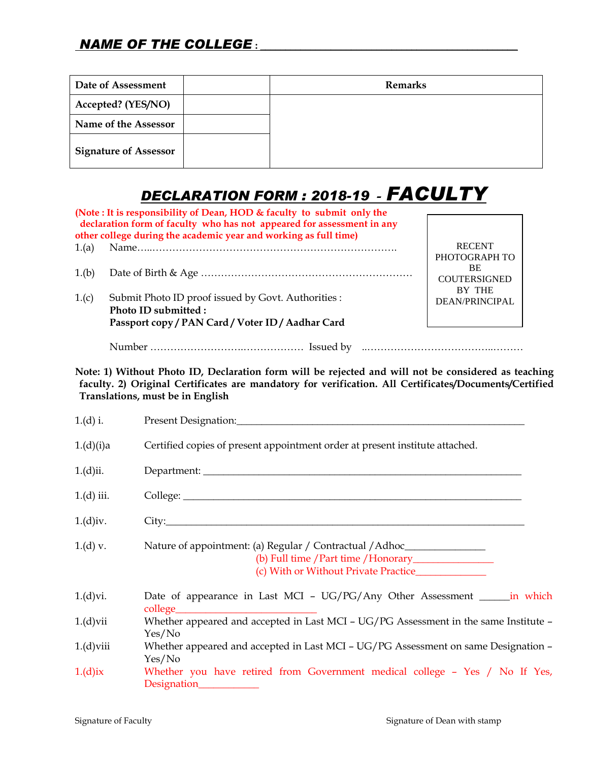| Date of Assessment           | <b>Remarks</b> |
|------------------------------|----------------|
| Accepted? (YES/NO)           |                |
| Name of the Assessor         |                |
| <b>Signature of Assessor</b> |                |

## *DECLARATION FORM : 2018-19* **-** *FACULTY*

|       | (Note: It is responsibility of Dean, HOD & faculty to submit only the<br>declaration form of faculty who has not appeared for assessment in any<br>other college during the academic year and working as full time) |                                                   |
|-------|---------------------------------------------------------------------------------------------------------------------------------------------------------------------------------------------------------------------|---------------------------------------------------|
| 1.(a) |                                                                                                                                                                                                                     | <b>RECENT</b>                                     |
| 1.(b) |                                                                                                                                                                                                                     | PHOTOGRAPH TO<br><b>BE</b><br><b>COUTERSIGNED</b> |
| 1.(c) | Submit Photo ID proof issued by Govt. Authorities:<br>Photo ID submitted:                                                                                                                                           | <b>BY THE</b><br>DEAN/PRINCIPAL                   |
|       | Passport copy / PAN Card / Voter ID / Aadhar Card                                                                                                                                                                   |                                                   |
|       |                                                                                                                                                                                                                     |                                                   |

**Note: 1) Without Photo ID, Declaration form will be rejected and will not be considered as teaching faculty. 2) Original Certificates are mandatory for verification. All Certificates/Documents/Certified Translations, must be in English**

| $1.(d)$ i.   |                                                                                                |
|--------------|------------------------------------------------------------------------------------------------|
| 1.(d)(i)a    | Certified copies of present appointment order at present institute attached.                   |
| $1.(d)$ ii.  |                                                                                                |
| $1.(d)$ iii. |                                                                                                |
| $1.(d)$ iv.  |                                                                                                |
| $1.(d)$ v.   | Nature of appointment: (a) Regular / Contractual / Adhoc________________________               |
| 1.(d)vi.     | Date of appearance in Last MCI - UG/PG/Any Other Assessment _______ in which                   |
| $1.(d)$ vii  | Whether appeared and accepted in Last MCI - UG/PG Assessment in the same Institute -<br>Yes/No |
| $1.(d)$ viii | Whether appeared and accepted in Last MCI - UG/PG Assessment on same Designation -<br>Yes/No   |
| $1.(d)$ ix   | Whether you have retired from Government medical college - Yes / No If Yes,<br>Designation_    |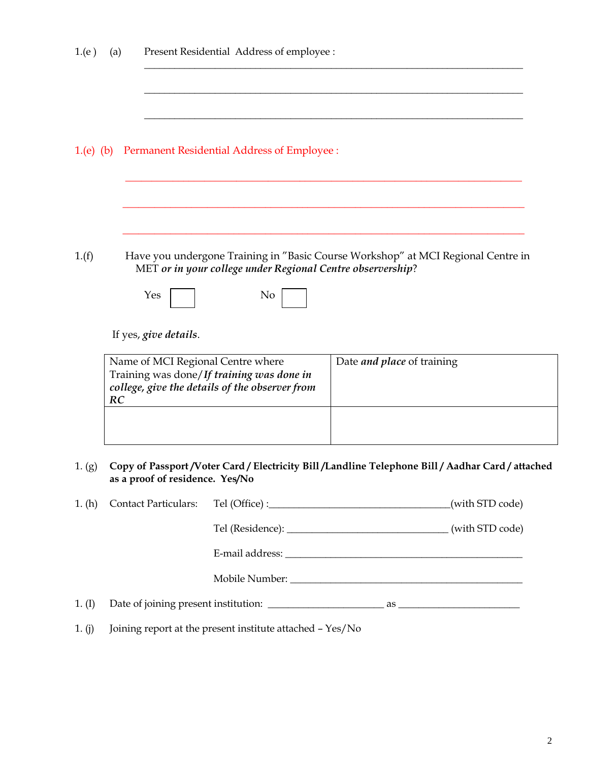| 1(e)      | (a) |                                 | Present Residential Address of employee :                                                                                        |                                                                                           |
|-----------|-----|---------------------------------|----------------------------------------------------------------------------------------------------------------------------------|-------------------------------------------------------------------------------------------|
| 1.(e) (b) |     |                                 | Permanent Residential Address of Employee :                                                                                      |                                                                                           |
| 1(f)      |     | Yes                             | MET or in your college under Regional Centre observership?<br>No                                                                 | Have you undergone Training in "Basic Course Workshop" at MCI Regional Centre in          |
|           | RC  | If yes, give details.           | Name of MCI Regional Centre where<br>Training was done/If training was done in<br>college, give the details of the observer from | Date <i>and place</i> of training                                                         |
| 1. (g)    |     | as a proof of residence. Yes/No |                                                                                                                                  | Copy of Passport/Voter Card/Electricity Bill/Landline Telephone Bill/Aadhar Card/attached |
| 1. (h)    |     | <b>Contact Particulars:</b>     |                                                                                                                                  | (with STD code)                                                                           |
|           |     |                                 |                                                                                                                                  |                                                                                           |
|           |     |                                 |                                                                                                                                  |                                                                                           |
|           |     |                                 |                                                                                                                                  |                                                                                           |

1. (I) Date of joining present institution: \_\_\_\_\_\_\_\_\_\_\_\_\_\_\_\_\_\_\_\_\_\_\_ as \_\_\_\_\_\_\_\_\_\_\_\_\_\_\_\_\_\_\_\_\_\_\_\_

1. (j) Joining report at the present institute attached – Yes/No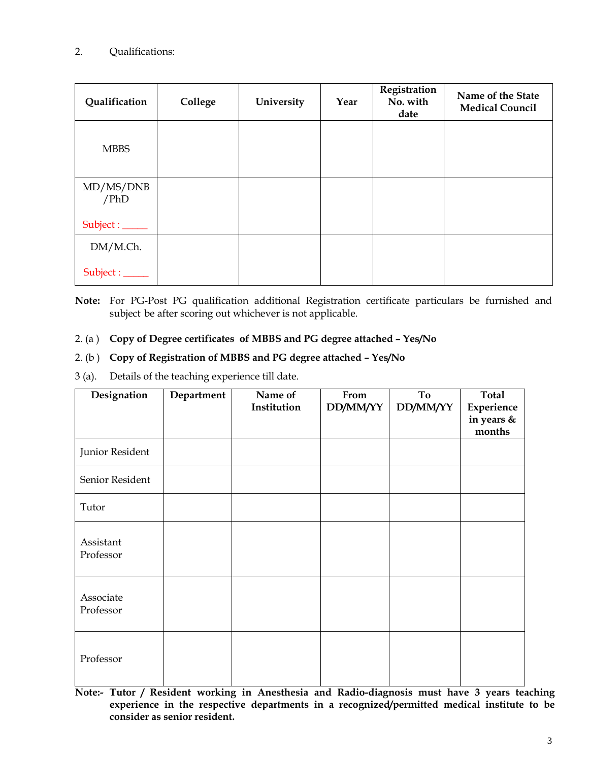### 2. Qualifications:

| Qualification     | College | University | Year | Registration<br>No. with<br>date | Name of the State<br><b>Medical Council</b> |
|-------------------|---------|------------|------|----------------------------------|---------------------------------------------|
| <b>MBBS</b>       |         |            |      |                                  |                                             |
| MD/MS/DNB<br>/PhD |         |            |      |                                  |                                             |
| Subject : _____   |         |            |      |                                  |                                             |
| DM/M.Ch.          |         |            |      |                                  |                                             |
| Subject : _____   |         |            |      |                                  |                                             |

**Note:** For PG-Post PG qualification additional Registration certificate particulars be furnished and subject be after scoring out whichever is not applicable.

#### 2. (a ) **Copy of Degree certificates of MBBS and PG degree attached – Yes/No**

#### 2. (b ) **Copy of Registration of MBBS and PG degree attached – Yes/No**

3 (a). Details of the teaching experience till date.

| Designation            | Department | Name of     | From     | To       | <b>Total</b>             |
|------------------------|------------|-------------|----------|----------|--------------------------|
|                        |            | Institution | DD/MM/YY | DD/MM/YY | Experience<br>in years & |
|                        |            |             |          |          | months                   |
| Junior Resident        |            |             |          |          |                          |
| Senior Resident        |            |             |          |          |                          |
| Tutor                  |            |             |          |          |                          |
| Assistant<br>Professor |            |             |          |          |                          |
| Associate<br>Professor |            |             |          |          |                          |
| Professor              |            |             |          |          |                          |

**Note:- Tutor / Resident working in Anesthesia and Radio-diagnosis must have 3 years teaching experience in the respective departments in a recognized/permitted medical institute to be consider as senior resident.**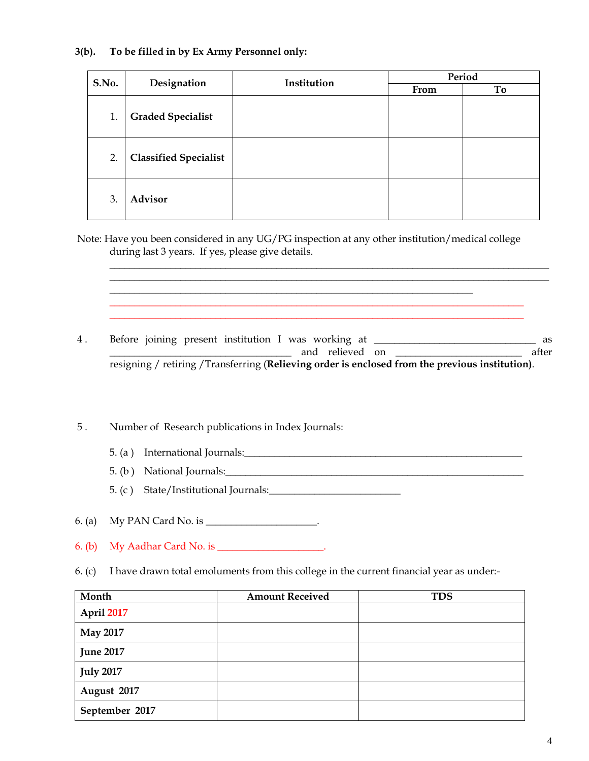#### **3(b). To be filled in by Ex Army Personnel only:**

| S.No. | Designation                  | Institution | Period |    |  |
|-------|------------------------------|-------------|--------|----|--|
|       |                              |             | From   | To |  |
| 1.    | <b>Graded Specialist</b>     |             |        |    |  |
| 2.    | <b>Classified Specialist</b> |             |        |    |  |
| 3.    | <b>Advisor</b>               |             |        |    |  |

Note: Have you been considered in any UG/PG inspection at any other institution/medical college during last 3 years. If yes, please give details.

 $\overline{\phantom{a}}$  , and the contribution of the contribution of the contribution of the contribution of the contribution of the contribution of the contribution of the contribution of the contribution of the contribution of the

4. Before joining present institution I was working at \_\_\_\_\_\_\_\_\_\_\_\_\_\_\_\_\_\_\_\_\_\_\_\_\_ as and relieved on **a** after resigning / retiring /Transferring (**Relieving order is enclosed from the previous institution)**.

\_\_\_\_\_\_\_\_\_\_\_\_\_\_\_\_\_\_\_\_\_\_\_\_\_\_\_\_\_\_\_\_\_\_\_\_\_\_\_\_\_\_\_\_\_\_\_\_\_\_\_\_\_\_\_\_\_\_\_\_\_\_\_\_\_\_\_\_\_\_\_\_\_\_\_\_\_\_\_\_\_\_ \_\_\_\_\_\_\_\_\_\_\_\_\_\_\_\_\_\_\_\_\_\_\_\_\_\_\_\_\_\_\_\_\_\_\_\_\_\_\_\_\_\_\_\_\_\_\_\_\_\_\_\_\_\_\_\_\_\_\_\_\_\_\_\_\_\_\_\_\_\_\_\_\_\_\_\_\_\_\_\_\_\_

 $\mathcal{L}_\mathcal{L} = \{ \mathcal{L}_\mathcal{L} = \{ \mathcal{L}_\mathcal{L} = \{ \mathcal{L}_\mathcal{L} = \{ \mathcal{L}_\mathcal{L} = \{ \mathcal{L}_\mathcal{L} = \{ \mathcal{L}_\mathcal{L} = \{ \mathcal{L}_\mathcal{L} = \{ \mathcal{L}_\mathcal{L} = \{ \mathcal{L}_\mathcal{L} = \{ \mathcal{L}_\mathcal{L} = \{ \mathcal{L}_\mathcal{L} = \{ \mathcal{L}_\mathcal{L} = \{ \mathcal{L}_\mathcal{L} = \{ \mathcal{L}_\mathcal{$ 

5 . Number of Research publications in Index Journals:

- 5. (a ) International Journals:\_\_\_\_\_\_\_\_\_\_\_\_\_\_\_\_\_\_\_\_\_\_\_\_\_\_\_\_\_\_\_\_\_\_\_\_\_\_\_\_\_\_\_\_\_\_\_\_\_\_\_\_\_\_\_
- 5. (b) National Journals:  $\Box$

5. (c ) State/Institutional Journals:\_\_\_\_\_\_\_\_\_\_\_\_\_\_\_\_\_\_\_\_\_\_\_\_\_\_

- 6. (a) My PAN Card No. is \_\_\_\_\_\_\_\_\_\_\_\_\_\_\_\_\_\_\_\_\_\_.
- 6. (b) My Aadhar Card No. is \_\_\_\_\_\_\_\_\_\_\_\_\_\_\_\_\_\_\_\_\_.
- 6. (c) I have drawn total emoluments from this college in the current financial year as under:-

| Month             | <b>Amount Received</b> | <b>TDS</b> |
|-------------------|------------------------|------------|
| <b>April 2017</b> |                        |            |
| <b>May 2017</b>   |                        |            |
| <b>June 2017</b>  |                        |            |
| <b>July 2017</b>  |                        |            |
| August 2017       |                        |            |
| September 2017    |                        |            |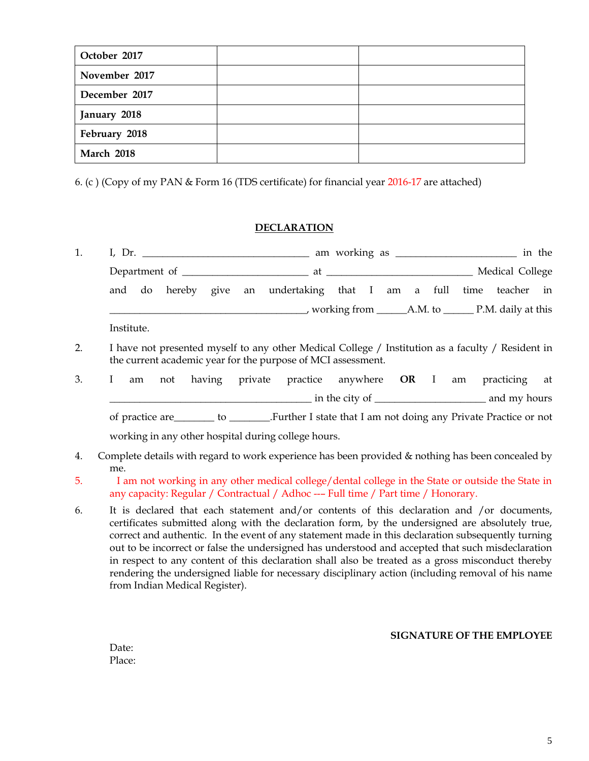| October 2017      |  |
|-------------------|--|
| November 2017     |  |
| December 2017     |  |
| January 2018      |  |
| February 2018     |  |
| <b>March 2018</b> |  |

6. (c ) (Copy of my PAN & Form 16 (TDS certificate) for financial year 2016-17 are attached)

#### **DECLARATION**

| 1. |                                                                                                                                                                                        |
|----|----------------------------------------------------------------------------------------------------------------------------------------------------------------------------------------|
|    |                                                                                                                                                                                        |
|    | and do hereby give an undertaking that I am a full time teacher in                                                                                                                     |
|    |                                                                                                                                                                                        |
|    | Institute.                                                                                                                                                                             |
| 2. | I have not presented myself to any other Medical College / Institution as a faculty / Resident in<br>the current academic year for the purpose of MCI assessment.                      |
| 3. | not having private practice anywhere OR I am practicing at<br>L<br>am                                                                                                                  |
|    |                                                                                                                                                                                        |
|    | of practice are __________ to _________.Further I state that I am not doing any Private Practice or not                                                                                |
|    | working in any other hospital during college hours.                                                                                                                                    |
| 4. | Complete details with regard to work experience has been provided & nothing has been concealed by<br>me.                                                                               |
| 5. | I am not working in any other medical college/dental college in the State or outside the State in<br>any capacity: Regular / Contractual / Adhoc --- Full time / Part time / Honorary. |

6. It is declared that each statement and/or contents of this declaration and /or documents, certificates submitted along with the declaration form, by the undersigned are absolutely true, correct and authentic. In the event of any statement made in this declaration subsequently turning out to be incorrect or false the undersigned has understood and accepted that such misdeclaration in respect to any content of this declaration shall also be treated as a gross misconduct thereby rendering the undersigned liable for necessary disciplinary action (including removal of his name from Indian Medical Register).

#### **SIGNATURE OF THE EMPLOYEE**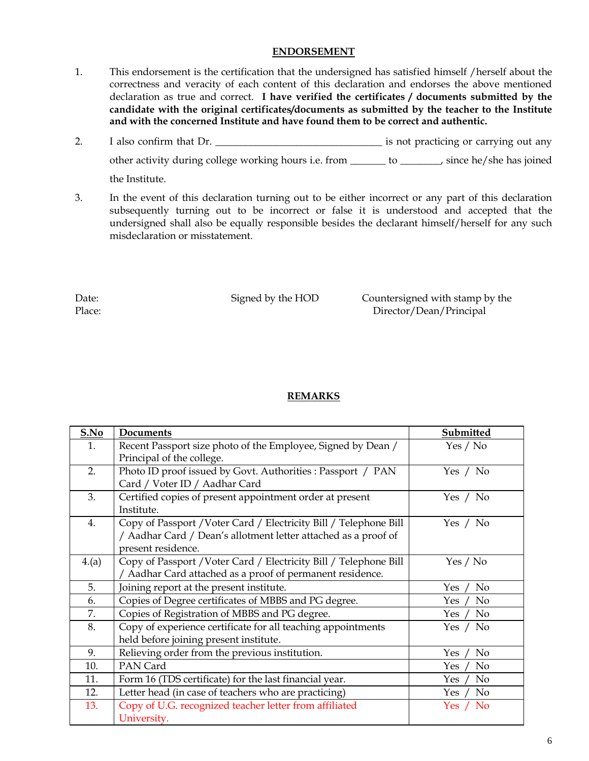#### **ENDORSEMENT**

- 1. This endorsement is the certification that the undersigned has satisfied himself /herself about the correctness and veracity of each content of this declaration and endorses the above mentioned declaration as true and correct. **I have verified the certificates / documents submitted by the candidate with the original certificates/documents as submitted by the teacher to the Institute and with the concerned Institute and have found them to be correct and authentic.**
- 2. I also confirm that Dr. \_\_\_\_\_\_\_\_\_\_\_\_\_\_\_\_\_\_\_\_\_\_\_\_\_\_\_\_\_\_\_\_\_ is not practicing or carrying out any other activity during college working hours i.e. from \_\_\_\_\_\_\_ to \_\_\_\_\_\_\_\_, since he/she has joined the Institute.
- 3. In the event of this declaration turning out to be either incorrect or any part of this declaration subsequently turning out to be incorrect or false it is understood and accepted that the undersigned shall also be equally responsible besides the declarant himself/herself for any such misdeclaration or misstatement.

Date: Signed by the HOD Countersigned with stamp by the Place: Director/Dean/Principal

#### **REMARKS**

| S.No | Documents                                                         | Submitted     |
|------|-------------------------------------------------------------------|---------------|
| 1.   | Recent Passport size photo of the Employee, Signed by Dean /      | Yes / No      |
|      | Principal of the college.                                         |               |
| 2.   | Photo ID proof issued by Govt. Authorities : Passport / PAN       | Yes / No      |
|      | Card / Voter ID / Aadhar Card                                     |               |
| 3.   | Certified copies of present appointment order at present          | Yes / No      |
|      | Institute.                                                        |               |
| 4.   | Copy of Passport / Voter Card / Electricity Bill / Telephone Bill | Yes $/$ No    |
|      | / Aadhar Card / Dean's allotment letter attached as a proof of    |               |
|      | present residence.                                                |               |
| 4(a) | Copy of Passport / Voter Card / Electricity Bill / Telephone Bill | Yes / No      |
|      | / Aadhar Card attached as a proof of permanent residence.         |               |
| 5.   | Joining report at the present institute.                          | No<br>Yes     |
| 6.   | Copies of Degree certificates of MBBS and PG degree.              | No<br>Yes.    |
| 7.   | Copies of Registration of MBBS and PG degree.                     | No<br>Yes     |
| 8.   | Copy of experience certificate for all teaching appointments      | No<br>Yes /   |
|      | held before joining present institute.                            |               |
| 9.   | Relieving order from the previous institution.                    | No<br>Yes     |
| 10.  | PAN Card                                                          | No<br>Yes     |
| 11.  | Form 16 (TDS certificate) for the last financial year.            | No<br>Yes     |
| 12.  | Letter head (in case of teachers who are practicing)              | No<br>Yes     |
| 13.  | Copy of U.G. recognized teacher letter from affiliated            | $/$ No<br>Yes |
|      | University.                                                       |               |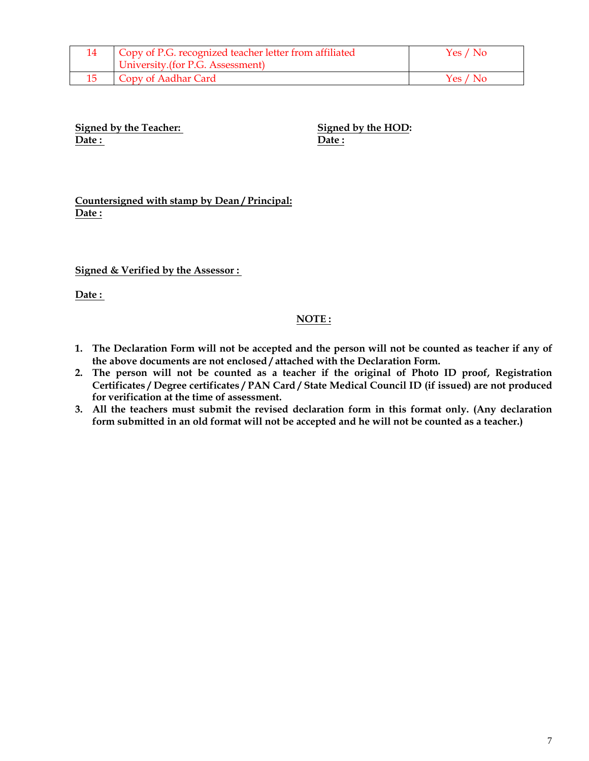| Copy of P.G. recognized teacher letter from affiliated<br>  University.(for P.G. Assessment) | Yes / No |
|----------------------------------------------------------------------------------------------|----------|
| Copy of Aadhar Card                                                                          | Yes / No |

**Signed by the Teacher:** Signed by the HOD: **Date : Date :**

**Countersigned with stamp by Dean / Principal: Date :**

**Signed & Verified by the Assessor :** 

**Date :** 

#### **NOTE :**

- **1. The Declaration Form will not be accepted and the person will not be counted as teacher if any of the above documents are not enclosed / attached with the Declaration Form.**
- **2. The person will not be counted as a teacher if the original of Photo ID proof, Registration Certificates / Degree certificates / PAN Card / State Medical Council ID (if issued) are not produced for verification at the time of assessment.**
- **3. All the teachers must submit the revised declaration form in this format only. (Any declaration form submitted in an old format will not be accepted and he will not be counted as a teacher.)**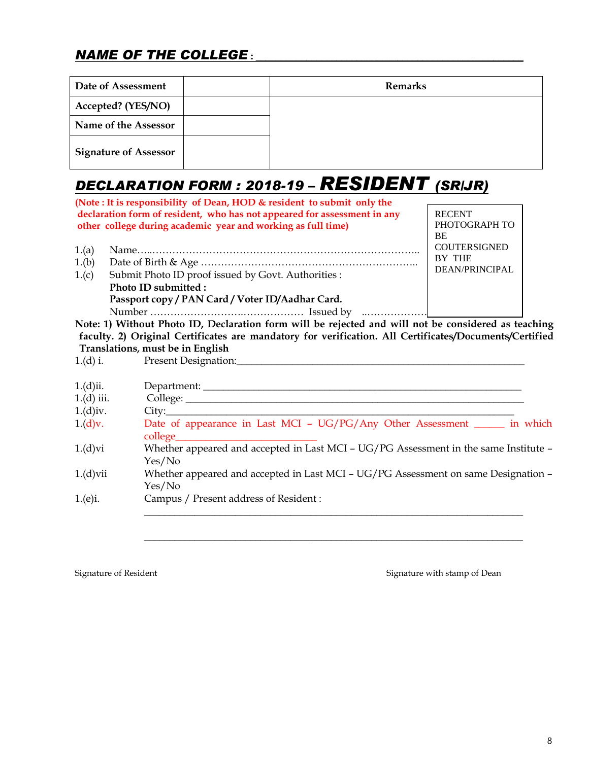## *NAME OF THE COLLEGE* **: \_\_\_\_\_\_\_\_\_\_\_\_\_\_\_\_\_\_\_\_\_\_\_\_\_\_\_\_\_\_\_\_\_\_\_\_\_\_\_\_\_\_\_\_\_\_\_\_\_\_\_\_\_**

| Date of Assessment           | <b>Remarks</b> |
|------------------------------|----------------|
| Accepted? (YES/NO)           |                |
| Name of the Assessor         |                |
| <b>Signature of Assessor</b> |                |

# *DECLARATION FORM : 2018-19 – RESIDENT (SR/JR)*

|       | (Note: It is responsibility of Dean, HOD & resident to submit only the                                                                   |                                      |
|-------|------------------------------------------------------------------------------------------------------------------------------------------|--------------------------------------|
|       | declaration form of resident, who has not appeared for assessment in any<br>other college during academic year and working as full time) | <b>RECENT</b><br>PHOTOGRAPH TO<br>BE |
| 1.(a) |                                                                                                                                          | <b>COUTERSIGNED</b>                  |
| 1.(b) |                                                                                                                                          | <b>BY THE</b>                        |
| 1.(c) | Submit Photo ID proof issued by Govt. Authorities:                                                                                       | DEAN/PRINCIPAL                       |
|       | Photo ID submitted :                                                                                                                     |                                      |
|       | Passport copy / PAN Card / Voter ID/Aadhar Card.                                                                                         |                                      |
|       |                                                                                                                                          |                                      |

**Note: 1) Without Photo ID, Declaration form will be rejected and will not be considered as teaching faculty. 2) Original Certificates are mandatory for verification. All Certificates/Documents/Certified Translations, must be in English**

1.(d) i. Present Designation:

| 1.(d)ii.     | Department: _________                                                                            |
|--------------|--------------------------------------------------------------------------------------------------|
| $1.(d)$ iii. |                                                                                                  |
| $1.(d)$ iv.  |                                                                                                  |
| 1.(d)v.      | Date of appearance in Last MCI - UG/PG/Any Other Assessment _______ in which<br>$\text{college}$ |
| 1.(d)vi      | Whether appeared and accepted in Last MCI - UG/PG Assessment in the same Institute -<br>Yes/No   |
| $1.(d)$ vii  | Whether appeared and accepted in Last MCI - UG/PG Assessment on same Designation -<br>Yes/No     |
| 1(e)i.       | Campus / Present address of Resident :                                                           |

 $\overline{\phantom{a}}$  , and the contribution of the contribution of the contribution of the contribution of the contribution of the contribution of the contribution of the contribution of the contribution of the contribution of the

Signature of Resident Signature of Resident Signature with stamp of Dean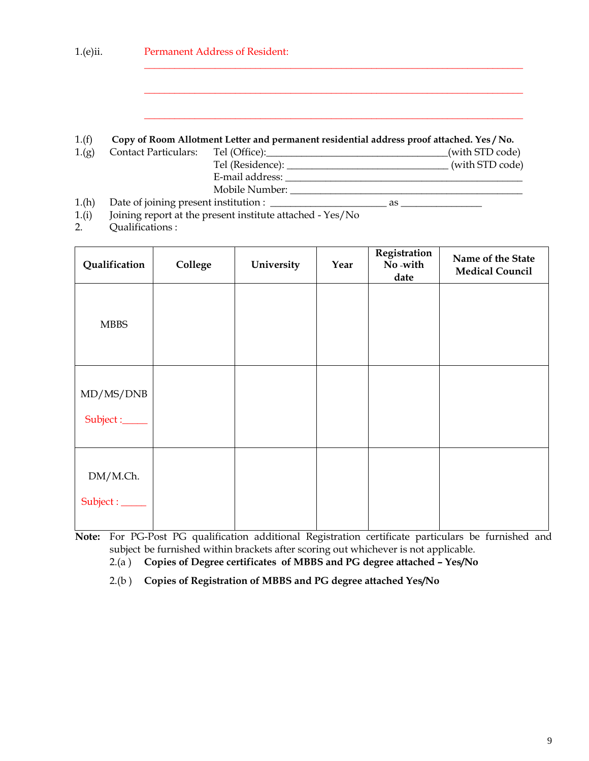| $1(e)$ ii. |  | <b>Permanent Address of Resident:</b> |                                                                                           |                 |  |
|------------|--|---------------------------------------|-------------------------------------------------------------------------------------------|-----------------|--|
|            |  |                                       |                                                                                           |                 |  |
|            |  |                                       |                                                                                           |                 |  |
| 1.(f)      |  |                                       | Copy of Room Allotment Letter and permanent residential address proof attached. Yes / No. |                 |  |
| 1(g)       |  | <b>Contact Particulars:</b>           | Tel (Office):                                                                             | (with STD code) |  |
|            |  |                                       |                                                                                           | (with STD code) |  |
|            |  |                                       | E-mail address:                                                                           |                 |  |
|            |  |                                       | Mobile Number:                                                                            |                 |  |

- 1.(h) Date of joining present institution : \_\_\_\_\_\_\_\_\_\_\_\_\_\_\_\_\_\_\_\_\_\_\_ as \_\_\_\_\_\_\_\_\_\_\_\_\_\_\_\_
- 1.(i) Joining report at the present institute attached Yes/No
- 2. Qualifications :

| Qualification               | College | University | Year | Registration<br>No-with<br>date | Name of the State<br><b>Medical Council</b> |
|-----------------------------|---------|------------|------|---------------------------------|---------------------------------------------|
| MBBS                        |         |            |      |                                 |                                             |
| MD/MS/DNB<br>Subject :_____ |         |            |      |                                 |                                             |
| DM/M.Ch.<br>Subject : _____ |         |            |      |                                 |                                             |

**Note:** For PG-Post PG qualification additional Registration certificate particulars be furnished and subject be furnished within brackets after scoring out whichever is not applicable.

2.(a ) **Copies of Degree certificates of MBBS and PG degree attached – Yes/No**

2.(b ) **Copies of Registration of MBBS and PG degree attached Yes/No**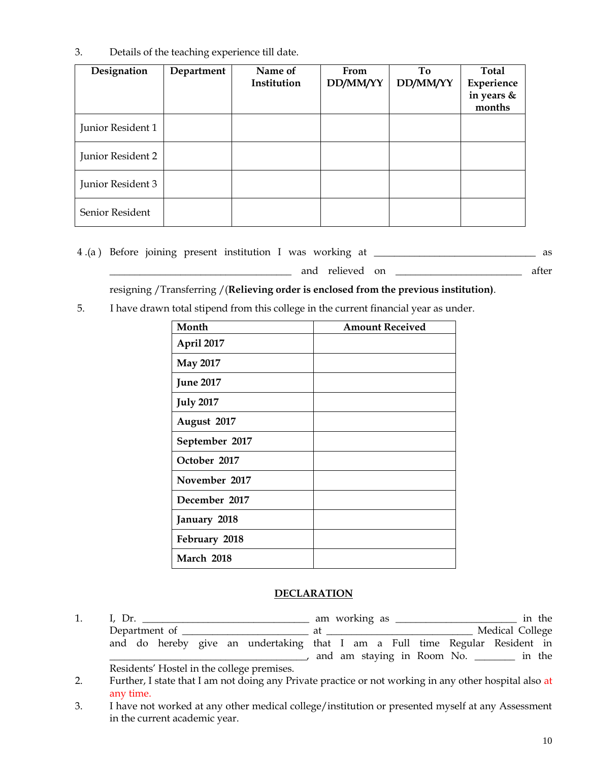3. Details of the teaching experience till date.

| Designation       | Department | Name of<br>Institution | From<br>DD/MM/YY | To<br>DD/MM/YY | Total<br>Experience<br>in years &<br>months |
|-------------------|------------|------------------------|------------------|----------------|---------------------------------------------|
| Junior Resident 1 |            |                        |                  |                |                                             |
| Junior Resident 2 |            |                        |                  |                |                                             |
| Junior Resident 3 |            |                        |                  |                |                                             |
| Senior Resident   |            |                        |                  |                |                                             |

4 .(a ) Before joining present institution I was working at \_\_\_\_\_\_\_\_\_\_\_\_\_\_\_\_\_\_\_\_\_\_\_\_\_\_\_\_\_\_\_\_ as

and relieved on \_\_\_\_\_\_\_\_\_\_\_\_\_\_\_\_\_\_\_\_\_\_\_\_ after

resigning /Transferring /(**Relieving order is enclosed from the previous institution)**.

5. I have drawn total stipend from this college in the current financial year as under.

| Month            | <b>Amount Received</b> |
|------------------|------------------------|
| April 2017       |                        |
| <b>May 2017</b>  |                        |
| <b>June 2017</b> |                        |
| <b>July 2017</b> |                        |
| August 2017      |                        |
| September 2017   |                        |
| October 2017     |                        |
| November 2017    |                        |
| December 2017    |                        |
| January 2018     |                        |
| February 2018    |                        |
| March 2018       |                        |

#### **DECLARATION**

1. I, Dr. \_\_\_\_\_\_\_\_\_\_\_\_\_\_\_\_\_\_\_\_\_\_\_\_\_\_\_\_\_\_\_\_\_ am working as \_\_\_\_\_\_\_\_\_\_\_\_\_\_\_\_\_\_\_\_\_\_\_\_ in the Department of \_\_\_\_\_\_\_\_\_\_\_\_\_\_\_\_\_\_\_\_\_\_\_\_\_ at \_\_\_\_\_\_\_\_\_\_\_\_\_\_\_\_\_\_\_\_\_\_\_\_\_\_\_\_\_ Medical College and do hereby give an undertaking that I am a Full time Regular Resident in \_\_\_\_\_\_\_\_\_\_\_\_\_\_\_\_\_\_\_\_\_\_\_\_\_\_\_\_\_\_\_\_\_\_\_\_\_\_\_, and am staying in Room No. \_\_\_\_\_\_\_\_ in the Residents' Hostel in the college premises.

3. I have not worked at any other medical college/institution or presented myself at any Assessment in the current academic year.

<sup>2.</sup> Further, I state that I am not doing any Private practice or not working in any other hospital also at any time.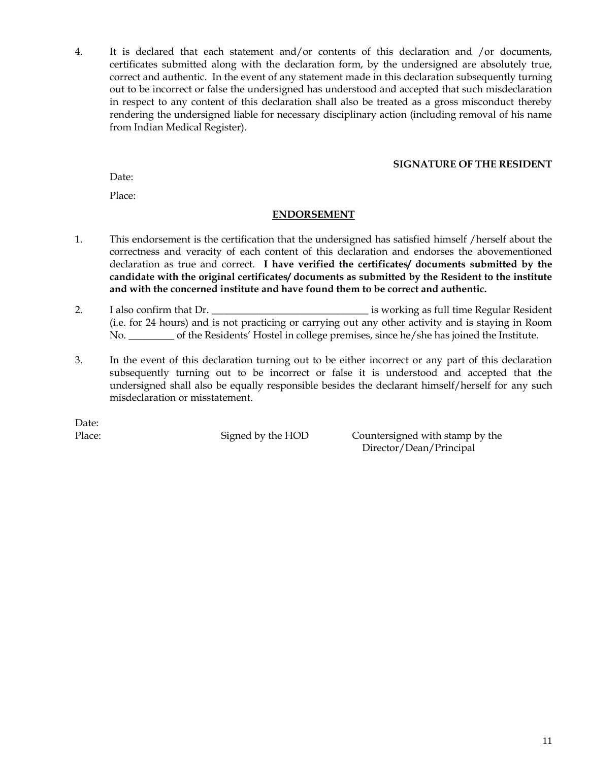4. It is declared that each statement and/or contents of this declaration and /or documents, certificates submitted along with the declaration form, by the undersigned are absolutely true, correct and authentic. In the event of any statement made in this declaration subsequently turning out to be incorrect or false the undersigned has understood and accepted that such misdeclaration in respect to any content of this declaration shall also be treated as a gross misconduct thereby rendering the undersigned liable for necessary disciplinary action (including removal of his name from Indian Medical Register).

#### **SIGNATURE OF THE RESIDENT**

Date<sup>.</sup>

Place:

#### **ENDORSEMENT**

- 1. This endorsement is the certification that the undersigned has satisfied himself /herself about the correctness and veracity of each content of this declaration and endorses the abovementioned declaration as true and correct. **I have verified the certificates/ documents submitted by the candidate with the original certificates/ documents as submitted by the Resident to the institute and with the concerned institute and have found them to be correct and authentic.**
- 2. I also confirm that Dr. \_\_\_\_\_\_\_\_\_\_\_\_\_\_\_\_\_\_\_\_\_\_\_\_\_\_\_\_\_\_\_ is working as full time Regular Resident (i.e. for 24 hours) and is not practicing or carrying out any other activity and is staying in Room No. \_\_\_\_\_\_\_\_\_ of the Residents' Hostel in college premises, since he/she has joined the Institute.
- 3. In the event of this declaration turning out to be either incorrect or any part of this declaration subsequently turning out to be incorrect or false it is understood and accepted that the undersigned shall also be equally responsible besides the declarant himself/herself for any such misdeclaration or misstatement.

Date:

Place: Signed by the HOD Countersigned with stamp by the Director/Dean/Principal